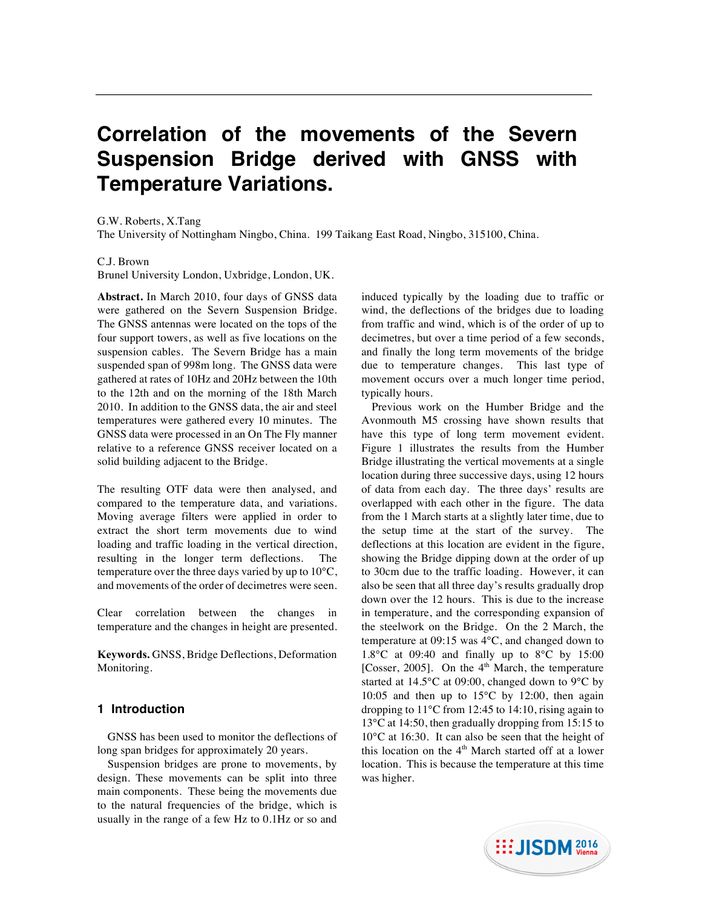# **Correlation of the movements of the Severn Suspension Bridge derived with GNSS with Temperature Variations.**

G.W. Roberts, X.Tang

The University of Nottingham Ningbo, China. 199 Taikang East Road, Ningbo, 315100, China.

#### C.J. Brown

Brunel University London, Uxbridge, London, UK.

**Abstract.** In March 2010, four days of GNSS data were gathered on the Severn Suspension Bridge. The GNSS antennas were located on the tops of the four support towers, as well as five locations on the suspension cables. The Severn Bridge has a main suspended span of 998m long. The GNSS data were gathered at rates of 10Hz and 20Hz between the 10th to the 12th and on the morning of the 18th March 2010. In addition to the GNSS data, the air and steel temperatures were gathered every 10 minutes. The GNSS data were processed in an On The Fly manner relative to a reference GNSS receiver located on a solid building adjacent to the Bridge.

The resulting OTF data were then analysed, and compared to the temperature data, and variations. Moving average filters were applied in order to extract the short term movements due to wind loading and traffic loading in the vertical direction, resulting in the longer term deflections. The temperature over the three days varied by up to 10°C, and movements of the order of decimetres were seen.

Clear correlation between the changes in temperature and the changes in height are presented.

**Keywords.** GNSS, Bridge Deflections, Deformation Monitoring.

#### **1 Introduction**

GNSS has been used to monitor the deflections of long span bridges for approximately 20 years.

Suspension bridges are prone to movements, by design. These movements can be split into three main components. These being the movements due to the natural frequencies of the bridge, which is usually in the range of a few Hz to 0.1Hz or so and

induced typically by the loading due to traffic or wind, the deflections of the bridges due to loading from traffic and wind, which is of the order of up to decimetres, but over a time period of a few seconds, and finally the long term movements of the bridge due to temperature changes. This last type of movement occurs over a much longer time period, typically hours.

Previous work on the Humber Bridge and the Avonmouth M5 crossing have shown results that have this type of long term movement evident. Figure 1 illustrates the results from the Humber Bridge illustrating the vertical movements at a single location during three successive days, using 12 hours of data from each day. The three days' results are overlapped with each other in the figure. The data from the 1 March starts at a slightly later time, due to the setup time at the start of the survey. The deflections at this location are evident in the figure, showing the Bridge dipping down at the order of up to 30cm due to the traffic loading. However, it can also be seen that all three day's results gradually drop down over the 12 hours. This is due to the increase in temperature, and the corresponding expansion of the steelwork on the Bridge. On the 2 March, the temperature at 09:15 was 4°C, and changed down to 1.8 $\degree$ C at 09:40 and finally up to  $\degree$ °C by 15:00 [Cosser, 2005]. On the  $4<sup>th</sup>$  March, the temperature started at 14.5°C at 09:00, changed down to 9°C by 10:05 and then up to  $15^{\circ}$ C by 12:00, then again dropping to 11°C from 12:45 to 14:10, rising again to 13°C at 14:50, then gradually dropping from 15:15 to 10°C at 16:30. It can also be seen that the height of this location on the  $4<sup>th</sup>$  March started off at a lower location. This is because the temperature at this time was higher.

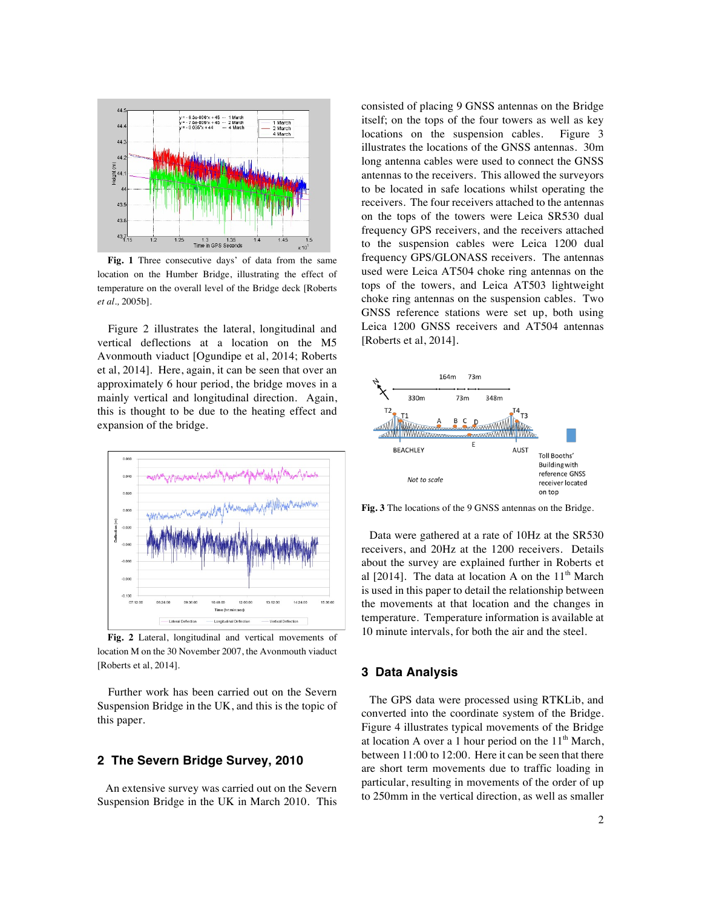

**Fig. 1** Three consecutive days' of data from the same location on the Humber Bridge, illustrating the effect of temperature on the overall level of the Bridge deck [Roberts *et al.,* 2005b].

Figure 2 illustrates the lateral, longitudinal and vertical deflections at a location on the M5 Avonmouth viaduct [Ogundipe et al, 2014; Roberts et al, 2014]. Here, again, it can be seen that over an approximately 6 hour period, the bridge moves in a mainly vertical and longitudinal direction. Again, this is thought to be due to the heating effect and expansion of the bridge.



**Fig. 2** Lateral, longitudinal and vertical movements of location M on the 30 November 2007, the Avonmouth viaduct [Roberts et al, 2014].

Further work has been carried out on the Severn Suspension Bridge in the UK, and this is the topic of this paper.

#### **2 The Severn Bridge Survey, 2010**

An extensive survey was carried out on the Severn Suspension Bridge in the UK in March 2010. This consisted of placing 9 GNSS antennas on the Bridge itself; on the tops of the four towers as well as key locations on the suspension cables. Figure 3 illustrates the locations of the GNSS antennas. 30m long antenna cables were used to connect the GNSS antennas to the receivers. This allowed the surveyors to be located in safe locations whilst operating the receivers. The four receivers attached to the antennas on the tops of the towers were Leica SR530 dual frequency GPS receivers, and the receivers attached to the suspension cables were Leica 1200 dual frequency GPS/GLONASS receivers. The antennas used were Leica AT504 choke ring antennas on the tops of the towers, and Leica AT503 lightweight choke ring antennas on the suspension cables. Two GNSS reference stations were set up, both using Leica 1200 GNSS receivers and AT504 antennas [Roberts et al, 2014].



**Fig. 3** The locations of the 9 GNSS antennas on the Bridge.

Data were gathered at a rate of 10Hz at the SR530 receivers, and 20Hz at the 1200 receivers. Details about the survey are explained further in Roberts et al  $[2014]$ . The data at location A on the  $11<sup>th</sup>$  March is used in this paper to detail the relationship between the movements at that location and the changes in temperature. Temperature information is available at 10 minute intervals, for both the air and the steel.

### **3 Data Analysis**

The GPS data were processed using RTKLib, and converted into the coordinate system of the Bridge. Figure 4 illustrates typical movements of the Bridge at location A over a 1 hour period on the  $11<sup>th</sup>$  March, between 11:00 to 12:00. Here it can be seen that there are short term movements due to traffic loading in particular, resulting in movements of the order of up to 250mm in the vertical direction, as well as smaller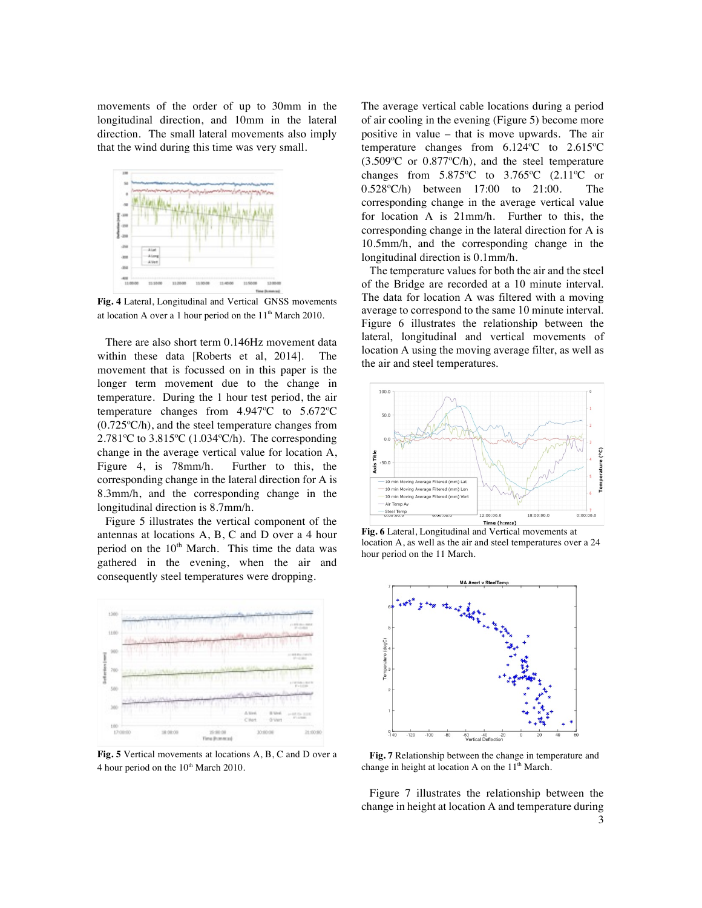movements of the order of up to 30mm in the longitudinal direction, and 10mm in the lateral direction. The small lateral movements also imply that the wind during this time was very small.



**Fig. 4** Lateral, Longitudinal and Vertical GNSS movements at location A over a 1 hour period on the  $11<sup>th</sup>$  March 2010.

There are also short term 0.146Hz movement data within these data [Roberts et al, 2014]. The movement that is focussed on in this paper is the longer term movement due to the change in temperature. During the 1 hour test period, the air temperature changes from 4.947ºC to 5.672ºC (0.725ºC/h), and the steel temperature changes from 2.781 $\degree$ C to 3.815 $\degree$ C (1.034 $\degree$ C/h). The corresponding change in the average vertical value for location A, Figure 4, is 78mm/h. Further to this, the corresponding change in the lateral direction for A is 8.3mm/h, and the corresponding change in the longitudinal direction is 8.7mm/h.

Figure 5 illustrates the vertical component of the antennas at locations A, B, C and D over a 4 hour period on the  $10<sup>th</sup>$  March. This time the data was gathered in the evening, when the air and consequently steel temperatures were dropping.



**Fig. 5** Vertical movements at locations A, B, C and D over a 4 hour period on the  $10<sup>th</sup>$  March 2010.

The average vertical cable locations during a period of air cooling in the evening (Figure 5) become more positive in value – that is move upwards. The air temperature changes from 6.124ºC to 2.615ºC (3.509ºC or 0.877ºC/h), and the steel temperature changes from  $5.875^{\circ}$ C to  $3.765^{\circ}$ C (2.11<sup>o</sup>C or 0.528ºC/h) between 17:00 to 21:00. The corresponding change in the average vertical value for location A is 21mm/h. Further to this, the corresponding change in the lateral direction for A is 10.5mm/h, and the corresponding change in the longitudinal direction is 0.1mm/h.

The temperature values for both the air and the steel of the Bridge are recorded at a 10 minute interval. The data for location A was filtered with a moving average to correspond to the same 10 minute interval. Figure 6 illustrates the relationship between the lateral, longitudinal and vertical movements of location A using the moving average filter, as well as the air and steel temperatures.



**Fig. 6** Lateral, Longitudinal and Vertical movements at location A, as well as the air and steel temperatures over a 24 hour period on the 11 March.



**Fig. 7** Relationship between the change in temperature and change in height at location A on the  $11<sup>th</sup>$  March.

Figure 7 illustrates the relationship between the change in height at location A and temperature during